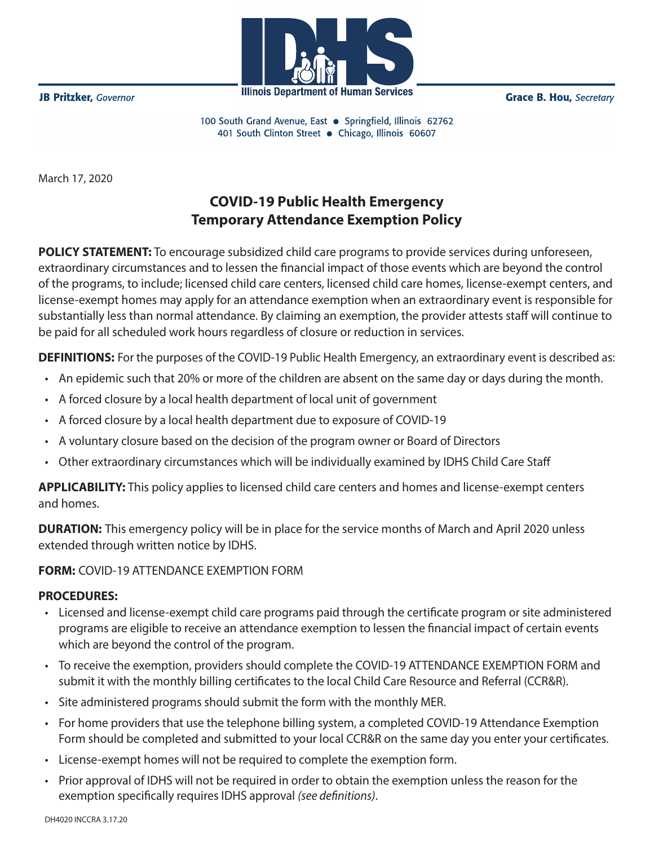

**JB Pritzker**, Governor

**Grace B. Hou, Secretary** 

100 South Grand Avenue, East . Springfield, Illinois 62762 401 South Clinton Street · Chicago, Illinois 60607

March 17, 2020

## **COVID-19 Public Health Emergency Temporary Attendance Exemption Policy**

 $Cov$  chattered  $T$ extraordinary circumstances and to lessen the financial impact of those events which are beyond the control of the programs, to include; licensed child care centers, licensed child care homes, license-exempt centers, and license-exempt homes may apply for an attendance exemption when an extraordinary event is responsible for substantially less than normal attendance. By claiming an exemption, the provider attests staff will continue to be paid for all scheduled work hours regardless of closure or reduction in services. **POLICY STATEMENT:** To encourage subsidized child care programs to provide services during unforeseen,

receive backpay for the 4.26% rate increase for those services. If you provided services between **DEFINITIONS:** For the purposes of the COVID-19 Public Health Emergency, an extraordinary event is described as:

- An epidemic such that 20% or more of the children are absent on the same day or days during the month.
- **Backpay will be calculated based on certificates for services provided between 7/1/18 and** • A forced closure by a local health department of local unit of government
- A forced closure by a local health department due to exposure of COVID-19
- A voluntary closure based on the decision of the program owner or Board of Directors
- Other extraordinary circumstances which will be individually examined by IDHS Child Care Staff

**month, for each family.** For example, a provider providing services for two families for each of the **APPLICABILITY:** This policy applies to licensed child care centers and homes and license-exempt centers  $p$  and family for each family for each family for each month. Backpay payments will be issued on the schedule and homes.

detailed below. extended through written notice by IDHS. The same manner of the same manner  $\mathbf{C}$ **DURATION:** This emergency policy will be in place for the service months of March and April 2020 unless

## **payments** (for example, paper check, direct deposit, or debit card). Information provided on the **FORM:** COVID-19 ATTENDANCE EXEMPTION FORM

## information as what is provided for regular CCAP payments. **PROCEDURES:**

- Licensed and license-exempt child care programs paid through the certificate program or site administered programs are eligible to receive an attendance exemption to lessen the financial impact of certain events which are beyond the control of the program.
- **Licensed providers must complete a rate certification form and file it with their Child Care** • To receive the exemption, providers should complete the COVID-19 ATTENDANCE EXEMPTION FORM and submit it with the monthly billing certificates to the local Child Care Resource and Referral (CCR&R).
- Site administered programs should submit the form with the monthly MER.
- For home providers that use the telephone billing system, a completed COVID-19 Attendance Exemption Form should be completed and submitted to your local CCR&R on the same day you enter your certificates.
- License-exempt homes will not be required to complete the exemption form.
- Prior approval of IDHS will not be required in order to obtain the exemption unless the reason for the exemption specifically requires IDHS approval *(see definitions)*.